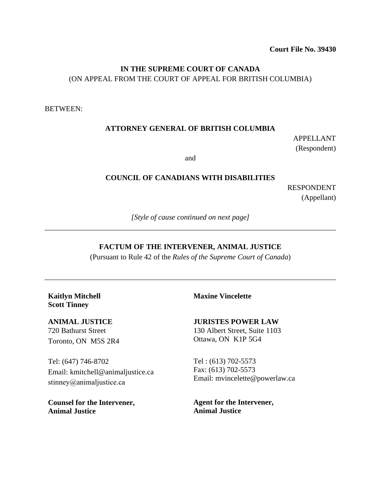**Court File No. 39430**

# **IN THE SUPREME COURT OF CANADA** (ON APPEAL FROM THE COURT OF APPEAL FOR BRITISH COLUMBIA)

BETWEEN:

### **ATTORNEY GENERAL OF BRITISH COLUMBIA**

APPELLANT (Respondent)

and

#### **COUNCIL OF CANADIANS WITH DISABILITIES**

RESPONDENT (Appellant)

*[Style of cause continued on next page]* \_\_\_\_\_\_\_\_\_\_\_\_\_\_\_\_\_\_\_\_\_\_\_\_\_\_\_\_\_\_\_\_\_\_\_\_\_\_\_\_\_\_\_\_\_\_\_\_\_\_\_\_\_\_\_\_\_\_\_\_\_\_\_\_\_\_\_\_\_\_\_\_\_\_\_\_\_\_

#### **FACTUM OF THE INTERVENER, ANIMAL JUSTICE**

(Pursuant to Rule 42 of the *Rules of the Supreme Court of Canada*)

\_\_\_\_\_\_\_\_\_\_\_\_\_\_\_\_\_\_\_\_\_\_\_\_\_\_\_\_\_\_\_\_\_\_\_\_\_\_\_\_\_\_\_\_\_\_\_\_\_\_\_\_\_\_\_\_\_\_\_\_\_\_\_\_\_\_\_\_\_\_\_\_\_\_\_\_\_\_

**Kaitlyn Mitchell Scott Tinney**

**ANIMAL JUSTICE** 720 Bathurst Street Toronto, ON M5S 2R4

Tel: (647) 746-8702 Email: kmitchell@animaljustice.ca [stinney@animaljustice.ca](mailto:stinney@animaljustice.ca)

**Counsel for the Intervener, Animal Justice**

**Maxine Vincelette**

**JURISTES POWER LAW** 130 Albert Street, Suite 1103

Ottawa, ON K1P 5G4

Tel : (613) 702-5573 Fax: (613) 702-5573 Email: mvincelette@powerlaw.ca

**Agent for the Intervener, Animal Justice**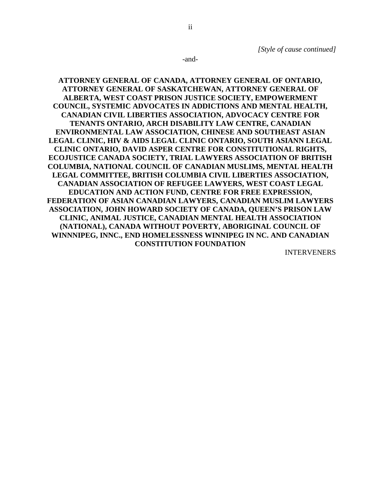-and-

**ATTORNEY GENERAL OF CANADA, ATTORNEY GENERAL OF ONTARIO, ATTORNEY GENERAL OF SASKATCHEWAN, ATTORNEY GENERAL OF ALBERTA, WEST COAST PRISON JUSTICE SOCIETY, EMPOWERMENT COUNCIL, SYSTEMIC ADVOCATES IN ADDICTIONS AND MENTAL HEALTH, CANADIAN CIVIL LIBERTIES ASSOCIATION, ADVOCACY CENTRE FOR TENANTS ONTARIO, ARCH DISABILITY LAW CENTRE, CANADIAN ENVIRONMENTAL LAW ASSOCIATION, CHINESE AND SOUTHEAST ASIAN LEGAL CLINIC, HIV & AIDS LEGAL CLINIC ONTARIO, SOUTH ASIANN LEGAL CLINIC ONTARIO, DAVID ASPER CENTRE FOR CONSTITUTIONAL RIGHTS, ECOJUSTICE CANADA SOCIETY, TRIAL LAWYERS ASSOCIATION OF BRITISH COLUMBIA, NATIONAL COUNCIL OF CANADIAN MUSLIMS, MENTAL HEALTH LEGAL COMMITTEE, BRITISH COLUMBIA CIVIL LIBERTIES ASSOCIATION, CANADIAN ASSOCIATION OF REFUGEE LAWYERS, WEST COAST LEGAL EDUCATION AND ACTION FUND, CENTRE FOR FREE EXPRESSION, FEDERATION OF ASIAN CANADIAN LAWYERS, CANADIAN MUSLIM LAWYERS ASSOCIATION, JOHN HOWARD SOCIETY OF CANADA, QUEEN'S PRISON LAW CLINIC, ANIMAL JUSTICE, CANADIAN MENTAL HEALTH ASSOCIATION (NATIONAL), CANADA WITHOUT POVERTY, ABORIGINAL COUNCIL OF WINNNIPEG, INNC., END HOMELESSNESS WINNIPEG IN NC. AND CANADIAN CONSTITUTION FOUNDATION**

INTERVENERS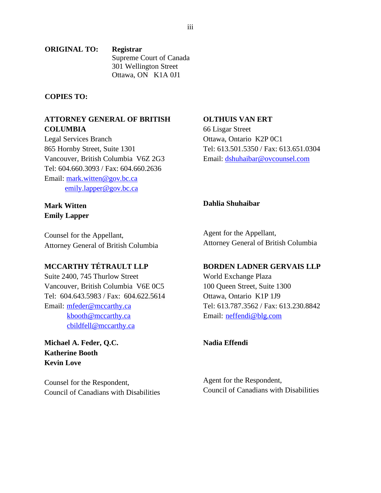#### **ORIGINAL TO: Registrar** Supreme Court of Canada 301 Wellington Street Ottawa, ON K1A 0J1

### **COPIES TO:**

### **ATTORNEY GENERAL OF BRITISH COLUMBIA**

Legal Services Branch 865 Hornby Street, Suite 1301 Vancouver, British Columbia V6Z 2G3 Tel: 604.660.3093 / Fax: 604.660.2636 Email: [mark.witten@gov.bc.ca](mailto:mark.witten@gov.bc.ca) [emily.lapper@gov.bc.ca](mailto:emily.lapper@gov.bc.ca)

### **Mark Witten Emily Lapper**

Counsel for the Appellant, Attorney General of British Columbia

# **MCCARTHY TÉTRAULT LLP**

Suite 2400, 745 Thurlow Street Vancouver, British Columbia V6E 0C5 Tel: 604.643.5983 / Fax: 604.622.5614 Email: [mfeder@mccarthy.ca](mailto:mfeder@mccarthy.ca) [kbooth@mccarthy.ca](mailto:kbooth@mccarthy.ca) [cbildfell@mccarthy.ca](mailto:cbildfell@mccarthy.ca)

**Michael A. Feder, Q.C. Katherine Booth Kevin Love**

Counsel for the Respondent, Council of Canadians with Disabilities

### **OLTHUIS VAN ERT**

66 Lisgar Street Ottawa, Ontario K2P 0C1 Tel: 613.501.5350 / Fax: 613.651.0304 Email: [dshuhaibar@ovcounsel.com](mailto:dshuhaibar@ovcounsel.com)

# **Dahlia Shuhaibar**

Agent for the Appellant, Attorney General of British Columbia

### **BORDEN LADNER GERVAIS LLP**

World Exchange Plaza 100 Queen Street, Suite 1300 Ottawa, Ontario K1P 1J9 Tel: 613.787.3562 / Fax: 613.230.8842 Email: [neffendi@blg.com](mailto:neffendi@blg.com)

### **Nadia Effendi**

Agent for the Respondent, Council of Canadians with Disabilities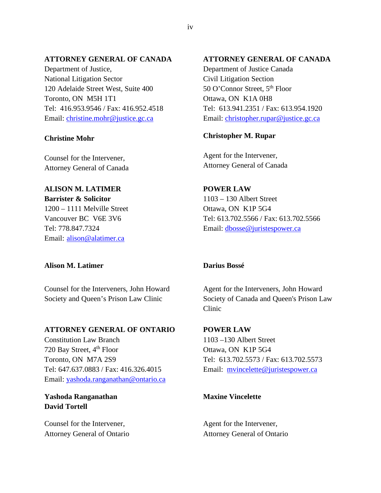### **ATTORNEY GENERAL OF CANADA**

Department of Justice, National Litigation Sector 120 Adelaide Street West, Suite 400 Toronto, ON M5H 1T1 [Tel: 416.953.9546](tel:416.953.9546) / Fax: 416.952.4518 Email: [christine.mohr@justice.gc.ca](mailto:christine.mohr@justice.gc.ca)

#### **Christine Mohr**

Counsel for the Intervener, Attorney General of Canada

#### **ALISON M. LATIMER**

**Barrister & Solicitor** 1200 – 1111 Melville Street Vancouver BC V6E 3V6 Tel: 778.847.7324 Email: [alison@alatimer.ca](mailto:alison@alatimer.ca)

### **Alison M. Latimer**

Counsel for the Interveners, John Howard Society and Queen's Prison Law Clinic

#### **ATTORNEY GENERAL OF ONTARIO**

Constitution Law Branch 720 Bay Street, 4<sup>th</sup> Floor Toronto, ON M7A 2S9 [Tel: 647.637.0883](tel:647.637.0883) / Fax: 416.326.4015 Email: [yashoda.ranganathan@ontario.ca](mailto:yashoda.ranganathan@ontario.ca) 

# **Yashoda Ranganathan David Tortell**

Counsel for the Intervener, Attorney General of Ontario

### **ATTORNEY GENERAL OF CANADA**

Department of Justice Canada Civil Litigation Section 50 O'Connor Street, 5<sup>th</sup> Floor Ottawa, ON K1A 0H8 [Tel: 613.941.2351](tel:416.941.2351) / Fax: 613.954.1920 Email: [christopher.rupar@justice.gc.ca](mailto:christopher.rupar@justice.gc.ca)

### **Christopher M. Rupar**

Agent for the Intervener, Attorney General of Canada

**POWER LAW** 1103 – 130 Albert Street Ottawa, ON K1P 5G4 Tel: 613.702.5566 / Fax: 613.702.5566 Email: [dbosse@juristespower.ca](mailto:dbosse@juristespower.ca) 

### **Darius Bossé**

Agent for the Interveners, John Howard Society of Canada and Queen's Prison Law Clinic

**POWER LAW** 1103 –130 Albert Street Ottawa, ON K1P 5G4 [Tel: 613.702.5573](tel:613.702.5573) / Fax: 613.702.5573 Email: [mvincelette@juristespower.ca](mailto:mvincelette@juristespower.ca)

### **Maxine Vincelette**

Agent for the Intervener, Attorney General of Ontario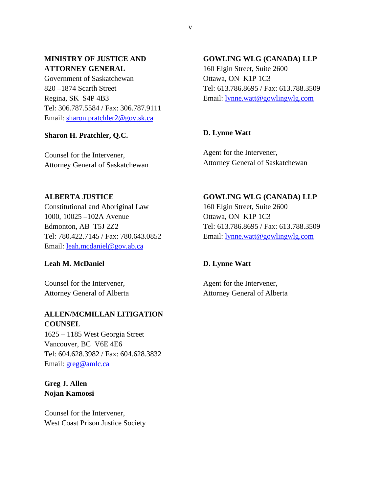# **MINISTRY OF JUSTICE AND ATTORNEY GENERAL**

Government of Saskatchewan 820 –1874 Scarth Street Regina, SK S4P 4B3 [Tel: 306.787.5584](tel:306.787.5584) / Fax: 306.787.9111 Email: [sharon.pratchler2@gov.sk.ca](mailto:sharon.pratchler2@gov.sk.ca)

### **Sharon H. Pratchler, Q.C.**

Counsel for the Intervener, Attorney General of Saskatchewan

### **GOWLING WLG (CANADA) LLP**

160 Elgin Street, Suite 2600 Ottawa, ON K1P 1C3 [Tel: 613.786.8695](tel:613.786.8695) / Fax: 613.788.3509 Email: [lynne.watt@gowlingwlg.com](mailto:lynne.watt@gowlingwlg.com)

# **D. Lynne Watt**

Agent for the Intervener, Attorney General of Saskatchewan

### **ALBERTA JUSTICE**

Constitutional and Aboriginal Law 1000, 10025 –102A Avenue Edmonton, AB T5J 2Z2 [Tel: 780.422.7145](tel:780.422.7145) / Fax: 780.643.0852 Email: [leah.mcdaniel@gov.ab.ca](mailto:leah.mcdaniel@gov.ab.ca)

### **Leah M. McDaniel**

Counsel for the Intervener, Attorney General of Alberta

# **ALLEN/MCMILLAN LITIGATION COUNSEL**

1625 – 1185 West Georgia Street Vancouver, BC V6E 4E6 [Tel: 604.628.3982](tel:604.628.3982) / Fax: 604.628.3832 Email: [greg@amlc.ca](mailto:greg@amlc.ca) 

# **Greg J. Allen Nojan Kamoosi**

Counsel for the Intervener, West Coast Prison Justice Society

**GOWLING WLG (CANADA) LLP** 160 Elgin Street, Suite 2600 Ottawa, ON K1P 1C3 [Tel: 613.786.8695](tel:613.786.8695) / Fax: 613.788.3509 Email: [lynne.watt@gowlingwlg.com](mailto:lynne.watt@gowlingwlg.com)

# **D. Lynne Watt**

Agent for the Intervener, Attorney General of Alberta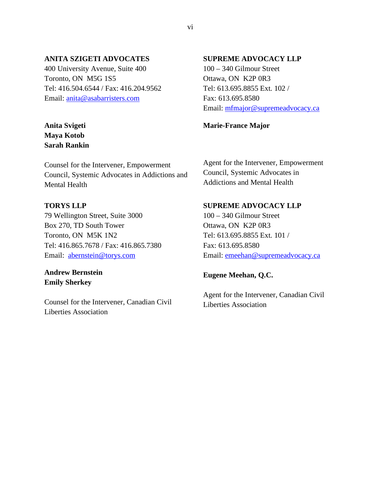### **ANITA SZIGETI ADVOCATES**

400 University Avenue, Suite 400 Toronto, ON M5G 1S5 Tel: 416.504.6544 / Fax: 416.204.9562 Email: [anita@asabarristers.com](mailto:anita@asabarristers.com)

# **Anita Svigeti Maya Kotob Sarah Rankin**

Counsel for the Intervener, Empowerment Council, Systemic Advocates in Addictions and Mental Health

### **TORYS LLP**

79 Wellington Street, Suite 3000 Box 270, TD South Tower Toronto, ON M5K 1N2 [Tel: 416.865.7678](tel:416.865.7678) / Fax: 416.865.7380 Email: [abernstein@torys.com](mailto:abernstein@torys.com)

# **Andrew Bernstein Emily Sherkey**

Counsel for the Intervener, Canadian Civil Liberties Association

### **SUPREME ADVOCACY LLP**

100 – 340 Gilmour Street Ottawa, ON K2P 0R3 Tel: 613.695.8855 Ext. 102 / Fax: 613.695.8580 Email: [mfmajor@supremeadvocacy.ca](mailto:mfmajor@supremeadvocacy.ca)

#### **Marie-France Major**

Agent for the Intervener, Empowerment Council, Systemic Advocates in Addictions and Mental Health

### **SUPREME ADVOCACY LLP**

100 – 340 Gilmour Street Ottawa, ON K2P 0R3 Tel: 613.695.8855 Ext. 101 / Fax: 613.695.8580 Email: [emeehan@supremeadvocacy.ca](mailto:emeehan@supremeadvocacy.ca)

### **Eugene Meehan, Q.C.**

Agent for the Intervener, Canadian Civil Liberties Association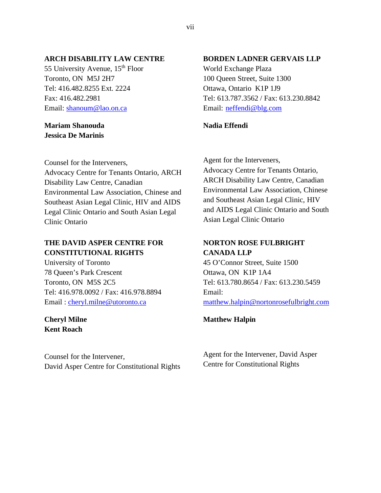### **ARCH DISABILITY LAW CENTRE**

55 University Avenue, 15<sup>th</sup> Floor Toronto, ON M5J 2H7 Tel: 416.482.8255 Ext. 2224 Fax: 416.482.2981 Email: [shanoum@lao.on.ca](mailto:shanoum@lao.on.ca)

### **Mariam Shanouda Jessica De Marinis**

Counsel for the Interveners, Advocacy Centre for Tenants Ontario, ARCH Disability Law Centre, Canadian Environmental Law Association, Chinese and Southeast Asian Legal Clinic, HIV and AIDS Legal Clinic Ontario and South Asian Legal Clinic Ontario

# **THE DAVID ASPER CENTRE FOR CONSTITUTIONAL RIGHTS**

University of Toronto 78 Queen's Park Crescent Toronto, ON M5S 2C5 [Tel: 416.978.0092 / Fax: 416.978.8894](tel:416.978.0092%20/%20Fax:416.978.8894) Email : [cheryl.milne@utoronto.ca](mailto:cheryl.milne@utoronto.ca)

# **Cheryl Milne Kent Roach**

Counsel for the Intervener, David Asper Centre for Constitutional Rights

### **BORDEN LADNER GERVAIS LLP**

World Exchange Plaza 100 Queen Street, Suite 1300 Ottawa, Ontario K1P 1J9 Tel: 613.787.3562 / Fax: 613.230.8842 Email: [neffendi@blg.com](mailto:neffendi@blg.com)

### **Nadia Effendi**

Agent for the Interveners, Advocacy Centre for Tenants Ontario, ARCH Disability Law Centre, Canadian Environmental Law Association, Chinese and Southeast Asian Legal Clinic, HIV and AIDS Legal Clinic Ontario and South Asian Legal Clinic Ontario

# **NORTON ROSE FULBRIGHT CANADA LLP**

45 O'Connor Street, Suite 1500 Ottawa, ON K1P 1A4 [Tel: 613.780.8654](tel:613.780.8654) / Fax: 613.230.5459 Email: [matthew.halpin@nortonrosefulbright.com](mailto:matthew.halpin@nortonrosefulbright.com)

### **Matthew Halpin**

Agent for the Intervener, David Asper Centre for Constitutional Rights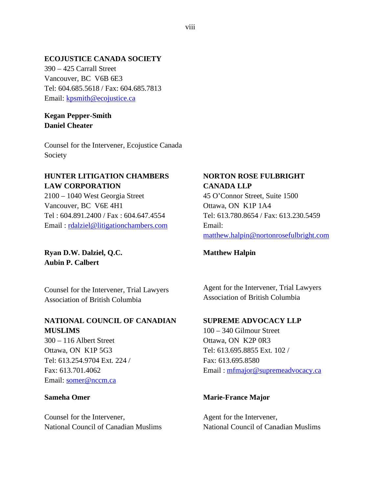### **ECOJUSTICE CANADA SOCIETY**

390 – 425 Carrall Street Vancouver, BC V6B 6E3 [Tel: 604.685.5618](tel:604.685.5618) / Fax: 604.685.7813 Email: [kpsmith@ecojustice.ca](mailto:kpsmith@ecojustice.ca)

# **Kegan Pepper-Smith Daniel Cheater**

Counsel for the Intervener, Ecojustice Canada Society

# **HUNTER LITIGATION CHAMBERS LAW CORPORATION**

2100 – 1040 West Georgia Street Vancouver, BC V6E 4H1 Tel [: 604.891.2400](tel:604.891.2400) / Fax : 604.647.4554 Email : [rdalziel@litigationchambers.com](mailto:rdalziel@litigationchambers.com)

**Ryan D.W. Dalziel, Q.C. Aubin P. Calbert**

Counsel for the Intervener, Trial Lawyers Association of British Columbia

# **NATIONAL COUNCIL OF CANADIAN MUSLIMS**

300 – 116 Albert Street Ottawa, ON K1P 5G3 Tel: 613.254.9704 Ext. 224 / Fax: 613.701.4062 Email: [somer@nccm.ca](mailto:somer@nccm.ca)

### **Sameha Omer**

Counsel for the Intervener, National Council of Canadian Muslims

# **NORTON ROSE FULBRIGHT CANADA LLP**

45 O'Connor Street, Suite 1500 Ottawa, ON K1P 1A4 [Tel: 613.780.8654](tel:613.780.8654) / Fax: 613.230.5459 Email: [matthew.halpin@nortonrosefulbright.com](mailto:matthew.halpin@nortonrosefulbright.com)

### **Matthew Halpin**

Agent for the Intervener, Trial Lawyers Association of British Columbia

### **SUPREME ADVOCACY LLP**

100 – 340 Gilmour Street Ottawa, ON K2P 0R3 Tel: 613.695.8855 Ext. 102 / Fax: 613.695.8580 Email : [mfmajor@supremeadvocacy.ca](mailto:mfmajor@supremeadvocacy.ca)

### **Marie-France Major**

Agent for the Intervener, National Council of Canadian Muslims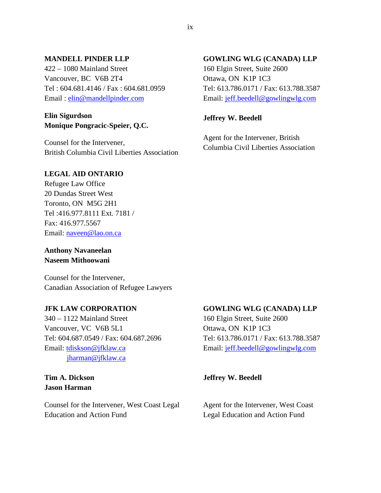### **MANDELL PINDER LLP**

422 – 1080 Mainland Street Vancouver, BC V6B 2T4 Tel [: 604.681.4146](tel:604.681.4146) / Fax : 604.681.0959 Email : [elin@mandellpinder.com](mailto:elin@mandellpinder.com)

### **Elin Sigurdson Monique Pongracic-Speier, Q.C.**

Counsel for the Intervener, British Columbia Civil Liberties Association

### **LEGAL AID ONTARIO**

Refugee Law Office 20 Dundas Street West Toronto, ON M5G 2H1 Tel :416.977.8111 Ext. 7181 / Fax: 416.977.5567 Email: [naveen@lao.on.ca](mailto:naveen@lao.on.ca)

**Anthony Navaneelan Naseem Mithoowani** 

Counsel for the Intervener, Canadian Association of Refugee Lawyers

### **JFK LAW CORPORATION**

340 – 1122 Mainland Street Vancouver, VC V6B 5L1 [Tel: 604.687.0549](tel:604.687.0549) / Fax: 604.687.2696 Email: [tdiskson@jfklaw.ca](mailto:tdiskson@jfklaw.ca) [jharman@jfklaw.ca](mailto:jharman@jfklaw.ca)

# **Tim A. Dickson Jason Harman**

Counsel for the Intervener, West Coast Legal Education and Action Fund

#### **GOWLING WLG (CANADA) LLP**

160 Elgin Street, Suite 2600 Ottawa, ON K1P 1C3 [Tel: 613.786.0171 / Fax: 613.788.3587](tel:613.786.0171%20/%20Fax:613.788.3587) Email: [jeff.beedell@gowlingwlg.com](mailto:jeff.beedell@gowlingwlg.com)

### **Jeffrey W. Beedell**

Agent for the Intervener, British Columbia Civil Liberties Association

#### **GOWLING WLG (CANADA) LLP**

160 Elgin Street, Suite 2600 Ottawa, ON K1P 1C3 [Tel: 613.786.0171 / Fax: 613.788.3587](tel:613.786.0171%20/%20Fax:613.788.3587) Email: [jeff.beedell@gowlingwlg.com](mailto:jeff.beedell@gowlingwlg.com)

#### **Jeffrey W. Beedell**

Agent for the Intervener, West Coast Legal Education and Action Fund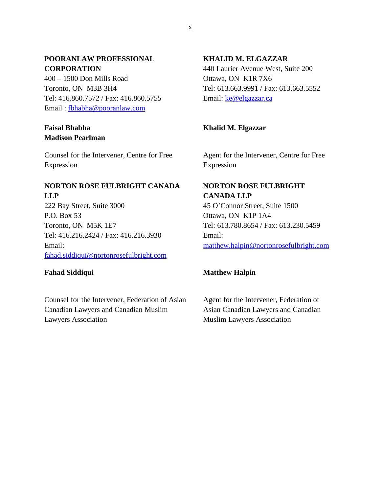# **POORANLAW PROFESSIONAL CORPORATION**

400 – 1500 Don Mills Road Toronto, ON M3B 3H4 [Tel: 416.860.7572](tel:416.860.7572) / Fax: 416.860.5755 Email : [fbhabha@pooranlaw.com](mailto:fbhabha@pooranlaw.com)

# **Faisal Bhabha Madison Pearlman**

Counsel for the Intervener, Centre for Free Expression

# **NORTON ROSE FULBRIGHT CANADA LLP**

222 Bay Street, Suite 3000 P.O. Box 53 Toronto, ON M5K 1E7 [Tel: 416.216.2424](tel:416.216.2424) / Fax: 416.216.3930 Email: [fahad.siddiqui@nortonrosefulbright.com](mailto:fahad.siddiqui@nortonrosefulbright.com)

### **Fahad Siddiqui**

Counsel for the Intervener, Federation of Asian Canadian Lawyers and Canadian Muslim Lawyers Association

# **KHALID M. ELGAZZAR**

440 Laurier Avenue West, Suite 200 Ottawa, ON K1R 7X6 [Tel: 613.663.9991](tel:613.663.9994) / Fax: 613.663.5552 Email: [ke@elgazzar.ca](mailto:ke@elgazzar.ca)

# **Khalid M. Elgazzar**

Agent for the Intervener, Centre for Free Expression

# **NORTON ROSE FULBRIGHT CANADA LLP**

45 O'Connor Street, Suite 1500 Ottawa, ON K1P 1A4 [Tel: 613.780.8654](tel:613.780.8654) / Fax: 613.230.5459 Email: [matthew.halpin@nortonrosefulbright.com](mailto:matthew.halpin@nortonrosefulbright.com)

# **Matthew Halpin**

Agent for the Intervener, Federation of Asian Canadian Lawyers and Canadian Muslim Lawyers Association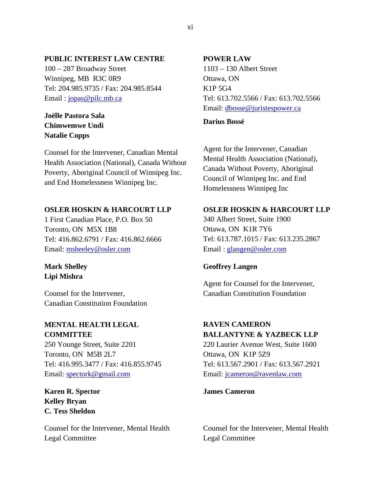### **PUBLIC INTEREST LAW CENTRE**

100 – 287 Broadway Street Winnipeg, MB R3C 0R9 [Tel: 204.985.9735](tel:204.985.9735) / Fax: 204.985.8544 Email: jopas@pilc.mb.ca

# **Joëlle Pastora Sala Chimwemwe Undi Natalie Copps**

Counsel for the Intervener, Canadian Mental Health Association (National), Canada Without Poverty, Aboriginal Council of Winnipeg Inc. and End Homelessness Winnipeg Inc.

### **OSLER HOSKIN & HARCOURT LLP**

1 First Canadian Place, P.O. Box 50 Toronto, ON M5X 1B8 [Tel: 416.862.6791](tel:416.862.6791) / Fax: 416.862.6666 Email: [msheeley@osler.com](mailto:msheeley@osler.com)

### **Mark Shelley Lipi Mishra**

Counsel for the Intervener, Canadian Constitution Foundation

# **MENTAL HEALTH LEGAL COMMITTEE**

250 Younge Street, Suite 2201 Toronto, ON M5B 2L7 Tel: 416.995.3477 / Fax: 416.855.9745 Email: [spectork@gmail.com](mailto:spectork@gmail.com)

**Karen R. Spector Kelley Bryan C. Tess Sheldon**

Counsel for the Intervener, Mental Health Legal Committee

### **POWER LAW**

1103 – 130 Albert Street Ottawa, ON K1P 5G4 Tel: 613.702.5566 / Fax: 613.702.5566 Email: [dbosse@juristespower.ca](mailto:dbosse@juristespower.ca) 

**Darius Bossé**

Agent for the Intervener, Canadian Mental Health Association (National), Canada Without Poverty, Aboriginal Council of Winnipeg Inc. and End Homelessness Winnipeg Inc

### **OSLER HOSKIN & HARCOURT LLP**

340 Albert Street, Suite 1900 Ottawa, ON K1R 7Y6 [Tel: 613.787.1015](tel:613.787.1015) / Fax: 613.235.2867 Email : [glangen@osler.com](mailto:glangen@osler.com)

### **Geoffrey Langen**

Agent for Counsel for the Intervener, Canadian Constitution Foundation

# **RAVEN CAMERON**

**BALLANTYNE & YAZBECK LLP** 220 Laurier Avenue West, Suite 1600 Ottawa, ON K1P 5Z9 Tel: 613.567.2901 / Fax: 613.567.2921 Email: [jcameron@ravenlaw.com](mailto:jcameron@ravenlaw.com)

**James Cameron**

Counsel for the Intervener, Mental Health Legal Committee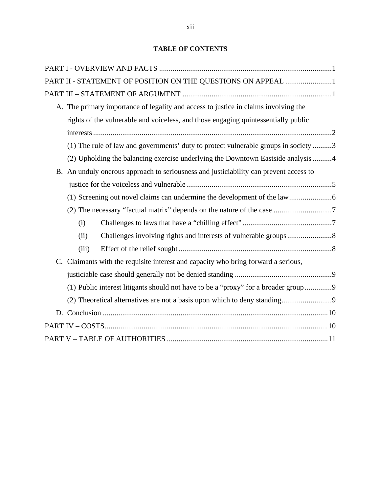# **TABLE OF CONTENTS**

|       | PART II - STATEMENT OF POSITION ON THE QUESTIONS ON APPEAL 1                          |  |
|-------|---------------------------------------------------------------------------------------|--|
|       |                                                                                       |  |
|       | A. The primary importance of legality and access to justice in claims involving the   |  |
|       | rights of the vulnerable and voiceless, and those engaging quintessentially public    |  |
|       |                                                                                       |  |
|       | (1) The rule of law and governments' duty to protect vulnerable groups in society 3   |  |
|       | (2) Upholding the balancing exercise underlying the Downtown Eastside analysis 4      |  |
|       | B. An unduly onerous approach to seriousness and justiciability can prevent access to |  |
|       |                                                                                       |  |
|       |                                                                                       |  |
|       |                                                                                       |  |
| (i)   |                                                                                       |  |
| (ii)  |                                                                                       |  |
| (iii) |                                                                                       |  |
|       | C. Claimants with the requisite interest and capacity who bring forward a serious,    |  |
|       |                                                                                       |  |
|       | (1) Public interest litigants should not have to be a "proxy" for a broader group9    |  |
|       |                                                                                       |  |
|       |                                                                                       |  |
|       |                                                                                       |  |
|       |                                                                                       |  |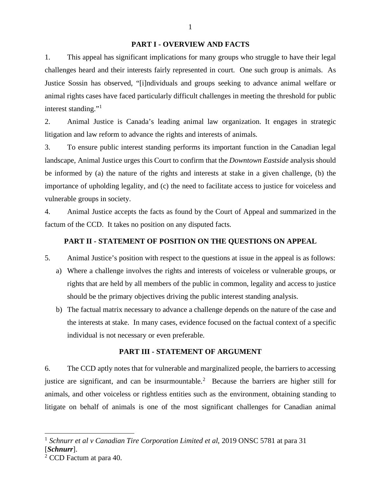#### **PART I - OVERVIEW AND FACTS**

1. This appeal has significant implications for many groups who struggle to have their legal challenges heard and their interests fairly represented in court. One such group is animals. As Justice Sossin has observed, "[i]ndividuals and groups seeking to advance animal welfare or animal rights cases have faced particularly difficult challenges in meeting the threshold for public interest standing."<sup>[1](#page-12-0)</sup>

2. Animal Justice is Canada's leading animal law organization. It engages in strategic litigation and law reform to advance the rights and interests of animals.

3. To ensure public interest standing performs its important function in the Canadian legal landscape, Animal Justice urges this Court to confirm that the *Downtown Eastside* analysis should be informed by (a) the nature of the rights and interests at stake in a given challenge, (b) the importance of upholding legality, and (c) the need to facilitate access to justice for voiceless and vulnerable groups in society.

4. Animal Justice accepts the facts as found by the Court of Appeal and summarized in the factum of the CCD. It takes no position on any disputed facts.

# **PART II - STATEMENT OF POSITION ON THE QUESTIONS ON APPEAL**

- 5. Animal Justice's position with respect to the questions at issue in the appeal is as follows:
	- a) Where a challenge involves the rights and interests of voiceless or vulnerable groups, or rights that are held by all members of the public in common, legality and access to justice should be the primary objectives driving the public interest standing analysis.
	- b) The factual matrix necessary to advance a challenge depends on the nature of the case and the interests at stake. In many cases, evidence focused on the factual context of a specific individual is not necessary or even preferable.

#### **PART III - STATEMENT OF ARGUMENT**

6. The CCD aptly notes that for vulnerable and marginalized people, the barriers to accessing justice are significant, and can be insurmountable. [2](#page-12-1) Because the barriers are higher still for animals, and other voiceless or rightless entities such as the environment, obtaining standing to litigate on behalf of animals is one of the most significant challenges for Canadian animal

<span id="page-12-0"></span><sup>1</sup> *Schnurr et al v Canadian Tire Corporation Limited et al*, 2019 ONSC 5781 at para 31 [*Schnurr*].

<span id="page-12-1"></span><sup>&</sup>lt;sup>2</sup> CCD Factum at para 40.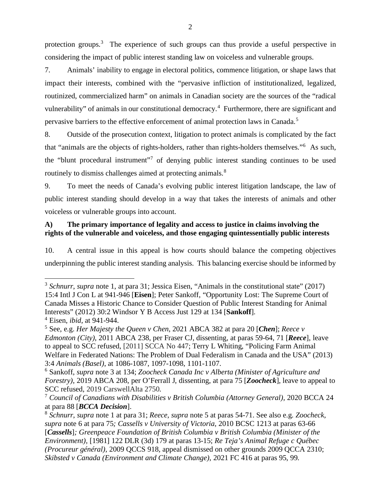protection groups.<sup>[3](#page-13-0)</sup> The experience of such groups can thus provide a useful perspective in considering the impact of public interest standing law on voiceless and vulnerable groups.

7. Animals' inability to engage in electoral politics, commence litigation, or shape laws that impact their interests, combined with the "pervasive infliction of institutionalized, legalized, routinized, commercialized harm" on animals in Canadian society are the sources of the "radical vulnerability" of animals in our constitutional democracy.<sup>[4](#page-13-1)</sup> Furthermore, there are significant and pervasive barriers to the effective enforcement of animal protection laws in Canada.<sup>[5](#page-13-2)</sup>

8. Outside of the prosecution context, litigation to protect animals is complicated by the fact that "animals are the objects of rights-holders, rather than rights-holders themselves."<sup>[6](#page-13-3)</sup> As such, the "blunt procedural instrument"[7](#page-13-4) of denying public interest standing continues to be used routinely to dismiss challenges aimed at protecting animals.<sup>[8](#page-13-5)</sup>

9. To meet the needs of Canada's evolving public interest litigation landscape, the law of public interest standing should develop in a way that takes the interests of animals and other voiceless or vulnerable groups into account.

# **A) The primary importance of legality and access to justice in claims involving the rights of the vulnerable and voiceless, and those engaging quintessentially public interests**

10. A central issue in this appeal is how courts should balance the competing objectives underpinning the public interest standing analysis. This balancing exercise should be informed by

<span id="page-13-0"></span><sup>&</sup>lt;sup>3</sup> *Schnurr*, *supra* note 1, at para 31; Jessica Eisen, "Animals in the constitutional state" (2017) 15:4 Intl J Con L at 941-946 [**Eisen**]; Peter Sankoff, "Opportunity Lost: The Supreme Court of Canada Misses a Historic Chance to Consider Question of Public Interest Standing for Animal Interests" (2012) 30:2 Windsor Y B Access Just 129 at 134 [**Sankoff**].

<span id="page-13-1"></span><sup>4</sup> Eisen, *ibid*, at 941-944.

<span id="page-13-2"></span><sup>5</sup> See, e.g. *Her Majesty the Queen v Chen*, 2021 ABCA 382 at para 20 [*Chen*]; *Reece v Edmonton (City)*, 2011 ABCA 238, per Fraser CJ, dissenting, at paras 59-64, 71 [*Reece*], leave to appeal to SCC refused, [2011] SCCA No 447; Terry L Whiting, "Policing Farm Animal Welfare in Federated Nations: The Problem of Dual Federalism in Canada and the USA" (2013) 3:4 *Animals (Basel)*, at 1086-1087, 1097-1098, 1101-1107.

<span id="page-13-3"></span><sup>6</sup> Sankoff, *supra* note 3 at 134; *Zoocheck Canada Inc v Alberta (Minister of Agriculture and Forestry)*, 2019 ABCA 208, per O'Ferrall J, dissenting, at para 75 [*Zoocheck*], leave to appeal to SCC refused, 2019 CarswellAlta 2750.<br><sup>7</sup> *Council of Canadians with Disabilities v British Columbia (Attorney General),* 2020 BCCA 24

<span id="page-13-4"></span>at para 88 [*BCCA Decision*].

<span id="page-13-5"></span><sup>8</sup> *Schnurr*, *supra* note 1 at para 31; *Reece*, *supra* note 5 at paras 54-71. See also e.g. *Zoocheck, supra* note 6 at para 75*; Cassells v University of Victoria*, 2010 BCSC 1213 at paras 63-66 [*Cassells*]*; Greenpeace Foundation of British Columbia v British Columbia (Minister of the Environment),* [1981] 122 DLR (3d) 179 at paras 13-15; *Re Teja's Animal Refuge c Québec (Procureur général),* 2009 QCCS 918*,* appeal dismissed on other grounds 2009 QCCA 2310; *Skibsted v Canada (Environment and Climate Change)*, 2021 FC 416 at paras 95, 99.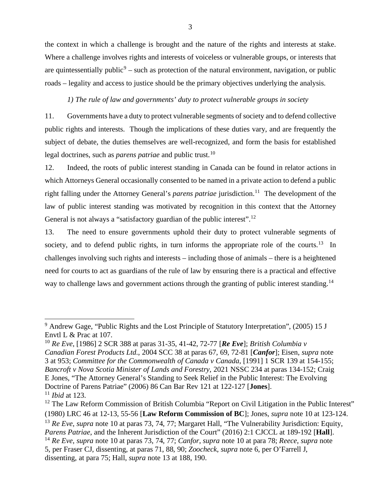the context in which a challenge is brought and the nature of the rights and interests at stake. Where a challenge involves rights and interests of voiceless or vulnerable groups, or interests that are quintessentially public<sup>[9](#page-14-0)</sup> – such as protection of the natural environment, navigation, or public roads – legality and access to justice should be the primary objectives underlying the analysis.

### *1) The rule of law and governments' duty to protect vulnerable groups in society*

11. Governments have a duty to protect vulnerable segments of society and to defend collective public rights and interests. Though the implications of these duties vary, and are frequently the subject of debate, the duties themselves are well-recognized, and form the basis for established legal doctrines, such as *parens patriae* and public trust.<sup>[10](#page-14-1)</sup>

12. Indeed, the roots of public interest standing in Canada can be found in relator actions in which Attorneys General occasionally consented to be named in a private action to defend a public right falling under the Attorney General's *parens patriae* jurisdiction.<sup>[11](#page-14-2)</sup> The development of the law of public interest standing was motivated by recognition in this context that the Attorney General is not always a "satisfactory guardian of the public interest".<sup>[12](#page-14-3)</sup>

13. The need to ensure governments uphold their duty to protect vulnerable segments of society, and to defend public rights, in turn informs the appropriate role of the courts.<sup>13</sup> In challenges involving such rights and interests – including those of animals – there is a heightened need for courts to act as guardians of the rule of law by ensuring there is a practical and effective way to challenge laws and government actions through the granting of public interest standing.<sup>[14](#page-14-5)</sup>

<span id="page-14-0"></span><sup>&</sup>lt;sup>9</sup> Andrew Gage, "Public Rights and the Lost Principle of Statutory Interpretation", (2005) 15 J Envtl L & Prac at 107.

<span id="page-14-1"></span><sup>10</sup> *Re Eve*, [1986] 2 SCR 388 at paras 31-35, 41-42, 72-77 [*Re Eve*]; *British Columbia v Canadian Forest Products Ltd.*, 2004 SCC 38 at paras 67, 69, 72-81 [*Canfor*]; Eisen, *supra* note 3 at 953; *Committee for the Commonwealth of Canada v Canada*, [1991] 1 SCR 139 at 154-155; *Bancroft v Nova Scotia Minister of Lands and Forestry*, 2021 NSSC 234 at paras 134-152; Craig E Jones, "The Attorney General's Standing to Seek Relief in the Public Interest: The Evolving Doctrine of Parens Patriae" (2006) 86 Can Bar Rev 121 at 122-127 [**Jones**]. <sup>11</sup> *Ibid* at 123.

<span id="page-14-5"></span><span id="page-14-4"></span><span id="page-14-3"></span><span id="page-14-2"></span><sup>&</sup>lt;sup>12</sup> The Law Reform Commission of British Columbia "Report on Civil Litigation in the Public Interest" (1980) LRC 46 at 12-13, 55-56 [**Law Reform Commission of BC**]; Jones, *supra* note 10 at 123-124. <sup>13</sup> Re Eve, supra note 10 at paras 73, 74, 77; Margaret Hall, "The Vulnerability Jurisdiction: Equity, *Parens Patriae*, and the Inherent Jurisdiction of the Court" (2016) 2:1 CJCCL at 189-192 [**Hall**]. <sup>14</sup> *Re Eve*, *supra* note 10 at paras 73, 74, 77; *Canfor*, *supra* note 10 at para 78; *Reece*, *supra* note 5, per Fraser CJ, dissenting, at paras 71, 88, 90; *Zoocheck*, *supra* note 6, per O'Farrell J, dissenting, at para 75; Hall, *supra* note 13 at 188, 190.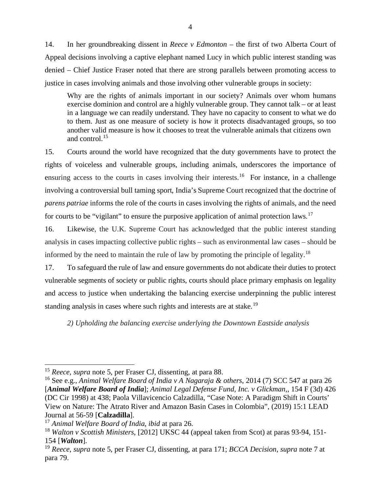14. In her groundbreaking dissent in *Reece v Edmonton* – the first of two Alberta Court of Appeal decisions involving a captive elephant named Lucy in which public interest standing was denied – Chief Justice Fraser noted that there are strong parallels between promoting access to justice in cases involving animals and those involving other vulnerable groups in society:

Why are the rights of animals important in our society? Animals over whom humans exercise dominion and control are a highly vulnerable group. They cannot talk – or at least in a language we can readily understand. They have no capacity to consent to what we do to them. Just as one measure of society is how it protects disadvantaged groups, so too another valid measure is how it chooses to treat the vulnerable animals that citizens own and control.[15](#page-15-0)

15. Courts around the world have recognized that the duty governments have to protect the rights of voiceless and vulnerable groups, including animals, underscores the importance of ensuring access to the courts in cases involving their interests.<sup>16</sup> For instance, in a challenge involving a controversial bull taming sport, India's Supreme Court recognized that the doctrine of *parens patriae* informs the role of the courts in cases involving the rights of animals, and the need for courts to be "vigilant" to ensure the purposive application of animal protection laws.[17](#page-15-2)

16. Likewise, the U.K. Supreme Court has acknowledged that the public interest standing analysis in cases impacting collective public rights – such as environmental law cases – should be informed by the need to maintain the rule of law by promoting the principle of legality.[18](#page-15-3)

17. To safeguard the rule of law and ensure governments do not abdicate their duties to protect vulnerable segments of society or public rights, courts should place primary emphasis on legality and access to justice when undertaking the balancing exercise underpinning the public interest standing analysis in cases where such rights and interests are at stake.<sup>[19](#page-15-4)</sup>

*2) Upholding the balancing exercise underlying the Downtown Eastside analysis*

<span id="page-15-0"></span><sup>15</sup> *Reece*, *supra* note 5, per Fraser CJ, dissenting, at para 88.

<span id="page-15-1"></span><sup>16</sup> See e.g., *Animal Welfare Board of India v A Nagaraja & others*, 2014 (7) SCC 547 at para 26 [*Animal Welfare Board of India*]; *Animal Legal Defense Fund, Inc. v Glickman,*, 154 F (3d) 426 (DC Cir 1998) at 438; Paola Villavicencio Calzadilla, "Case Note: A Paradigm Shift in Courts' View on Nature: The Atrato River and Amazon Basin Cases in Colombia", (2019) 15:1 LEAD Journal at 56-59 [**Calzadilla**].

<span id="page-15-2"></span><sup>17</sup> *Animal Welfare Board of India*, *ibid* at para 26.

<span id="page-15-3"></span><sup>18</sup> *Walton v Scottish Ministers*, [2012] UKSC 44 (appeal taken from Scot) at paras 93-94, 151- <sup>154</sup> [*Walton*]. 19 *Reece*, *supra* note 5, per Fraser CJ, dissenting, at para 171; *BCCA Decision*, *supra* note 7 at

<span id="page-15-4"></span>para 79.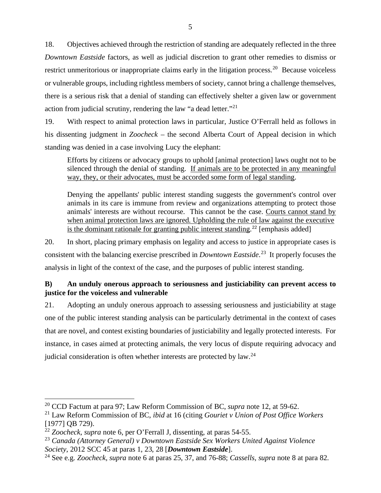18. Objectives achieved through the restriction of standing are adequately reflected in the three *Downtown Eastside* factors, as well as judicial discretion to grant other remedies to dismiss or restrict unmeritorious or inappropriate claims early in the litigation process.<sup>[20](#page-16-0)</sup> Because voiceless or vulnerable groups, including rightless members of society, cannot bring a challenge themselves, there is a serious risk that a denial of standing can effectively shelter a given law or government action from judicial scrutiny, rendering the law "a dead letter."[21](#page-16-1)

19. With respect to animal protection laws in particular, Justice O'Ferrall held as follows in his dissenting judgment in *Zoocheck* – the second Alberta Court of Appeal decision in which standing was denied in a case involving Lucy the elephant:

Efforts by citizens or advocacy groups to uphold [animal protection] laws ought not to be silenced through the denial of standing. If animals are to be protected in any meaningful way, they, or their advocates, must be accorded some form of legal standing.

Denying the appellants' public interest standing suggests the government's control over animals in its care is immune from review and organizations attempting to protect those animals' interests are without recourse. This cannot be the case. Courts cannot stand by when animal protection laws are ignored. Upholding the rule of law against the executive is the dominant rationale for granting public interest standing.<sup>[22](#page-16-2)</sup> [emphasis added]

20. In short, placing primary emphasis on legality and access to justice in appropriate cases is consistent with the balancing exercise prescribed in *Downtown Eastside*. [23](#page-16-3) It properly focuses the analysis in light of the context of the case, and the purposes of public interest standing.

### **B) An unduly onerous approach to seriousness and justiciability can prevent access to justice for the voiceless and vulnerable**

21. Adopting an unduly onerous approach to assessing seriousness and justiciability at stage one of the public interest standing analysis can be particularly detrimental in the context of cases that are novel, and contest existing boundaries of justiciability and legally protected interests. For instance, in cases aimed at protecting animals, the very locus of dispute requiring advocacy and judicial consideration is often whether interests are protected by law.<sup>[24](#page-16-4)</sup>

<span id="page-16-0"></span><sup>20</sup> CCD Factum at para 97; Law Reform Commission of BC, *supra* note 12, at 59-62.

<span id="page-16-1"></span><sup>21</sup> Law Reform Commission of BC, *ibid* at 16 (citing *Gouriet v Union of Post Office Workers* [1977] QB 729).

<span id="page-16-2"></span><sup>22</sup> *Zoocheck*, *supra* note 6, per O'Ferrall J, dissenting, at paras 54-55.

<span id="page-16-3"></span><sup>&</sup>lt;sup>23</sup> Canada (Attorney General) v Downtown Eastside Sex Workers United Against Violence<br>Society, 2012 SCC 45 at paras 1, 23, 28 [**Downtown Eastside**].

<span id="page-16-4"></span>*Society*, 2012 SCC 45 at paras 1, 23, 28 [*Downtown Eastside*]. 24 See e.g. *Zoocheck, supra* note 6 at paras 25, 37, and 76-88; *Cassells, supra* note 8 at para 82.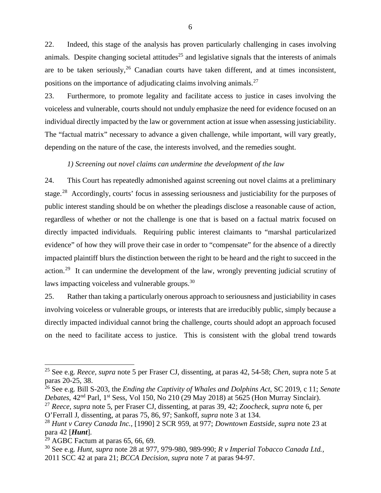22. Indeed, this stage of the analysis has proven particularly challenging in cases involving animals. Despite changing societal attitudes<sup>[25](#page-17-0)</sup> and legislative signals that the interests of animals are to be taken seriously,  $26$  Canadian courts have taken different, and at times inconsistent, positions on the importance of adjudicating claims involving animals.<sup>[27](#page-17-2)</sup>

23. Furthermore, to promote legality and facilitate access to justice in cases involving the voiceless and vulnerable, courts should not unduly emphasize the need for evidence focused on an individual directly impacted by the law or government action at issue when assessing justiciability. The "factual matrix" necessary to advance a given challenge, while important, will vary greatly, depending on the nature of the case, the interests involved, and the remedies sought.

#### *1) Screening out novel claims can undermine the development of the law*

24. This Court has repeatedly admonished against screening out novel claims at a preliminary stage.<sup>[28](#page-17-3)</sup> Accordingly, courts' focus in assessing seriousness and justiciability for the purposes of public interest standing should be on whether the pleadings disclose a reasonable cause of action, regardless of whether or not the challenge is one that is based on a factual matrix focused on directly impacted individuals. Requiring public interest claimants to "marshal particularized evidence" of how they will prove their case in order to "compensate" for the absence of a directly impacted plaintiff blurs the distinction between the right to be heard and the right to succeed in the action.<sup>[29](#page-17-4)</sup> It can undermine the development of the law, wrongly preventing judicial scrutiny of laws impacting voiceless and vulnerable groups.<sup>[30](#page-17-5)</sup>

25. Rather than taking a particularly onerous approach to seriousness and justiciability in cases involving voiceless or vulnerable groups, or interests that are irreducibly public, simply because a directly impacted individual cannot bring the challenge, courts should adopt an approach focused on the need to facilitate access to justice. This is consistent with the global trend towards

<span id="page-17-0"></span><sup>25</sup> See e.g. *Reece, supra* note 5 per Fraser CJ, dissenting, at paras 42, 54-58; *Chen*, supra note 5 at paras 20-25, 38.

<span id="page-17-1"></span><sup>26</sup> See e.g. Bill S-203, the *Ending the Captivity of Whales and Dolphins Act*, SC 2019, c 11; *Senate Debates*, 42nd Parl, 1st Sess, Vol 150, No 210 (29 May 2018) at 5625 (Hon Murray Sinclair).

<span id="page-17-2"></span><sup>27</sup> *Reece, supra* note 5, per Fraser CJ, dissenting, at paras 39, 42; *Zoocheck*, *supra* note 6, per O'Ferrall J, dissenting, at paras 75, 86, 97; Sankoff, *supra* note 3 at 134.

<span id="page-17-3"></span><sup>28</sup> *Hunt v Carey Canada Inc.,* [1990] 2 SCR 959, at 977; *Downtown Eastside*, *supra* note 23 at para 42 [*Hunt*].

<span id="page-17-4"></span> $29$  AGBC Factum at paras 65, 66, 69.

<span id="page-17-5"></span><sup>30</sup> See e.g. *Hunt*, *supra* note 28 at 977, 979-980, 989-990; *R v Imperial Tobacco Canada Ltd.,*  2011 SCC 42 at para 21; *BCCA Decision*, *supra* note 7 at paras 94-97.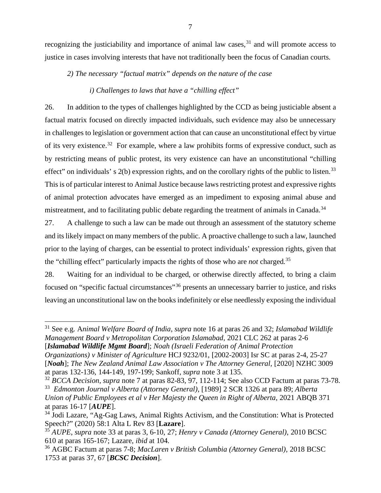recognizing the justiciability and importance of animal law cases,  $31$  and will promote access to justice in cases involving interests that have not traditionally been the focus of Canadian courts.

*2) The necessary "factual matrix" depends on the nature of the case*

### *i) Challenges to laws that have a "chilling effect"*

26. In addition to the types of challenges highlighted by the CCD as being justiciable absent a factual matrix focused on directly impacted individuals, such evidence may also be unnecessary in challenges to legislation or government action that can cause an unconstitutional effect by virtue of its very existence.<sup>32</sup> For example, where a law prohibits forms of expressive conduct, such as by restricting means of public protest, its very existence can have an unconstitutional "chilling effect" on individuals' s  $2(b)$  expression rights, and on the corollary rights of the public to listen.<sup>[33](#page-18-2)</sup> This is of particular interest to Animal Justice because laws restricting protest and expressive rights of animal protection advocates have emerged as an impediment to exposing animal abuse and mistreatment, and to facilitating public debate regarding the treatment of animals in Canada.<sup>[34](#page-18-3)</sup>

27. A challenge to such a law can be made out through an assessment of the statutory scheme and its likely impact on many members of the public. A proactive challenge to such a law, launched prior to the laying of charges, can be essential to protect individuals' expression rights, given that the "chilling effect" particularly impacts the rights of those who are *not* charged.[35](#page-18-4)

28. Waiting for an individual to be charged, or otherwise directly affected, to bring a claim focused on "specific factual circumstances"[36](#page-18-5) presents an unnecessary barrier to justice, and risks leaving an unconstitutional law on the books indefinitely or else needlessly exposing the individual

<span id="page-18-0"></span><sup>31</sup> See e.g. A*nimal Welfare Board of India, supra* note 16 at paras 26 and 32; *Islamabad Wildlife Management Board v Metropolitan Corporation Islamabad*, 2021 CLC 262 at paras 2-6 [*Islamabad Wildlife Mgmt Board*]; *Noah (Israeli Federation of Animal Protection* 

*Organizations) v Minister of Agriculture* HCJ 9232/01, [2002-2003] Isr SC at paras 2-4, 25-27 [*Noah*]; *The New Zealand Animal Law Association v The Attorney General,* [2020] NZHC 3009 at paras 132-136, 144-149, 197-199; Sankoff, *supra* note 3 at 135.

<span id="page-18-2"></span><span id="page-18-1"></span><sup>32</sup> *BCCA Decision*, *supra* note 7 at paras 82-83, 97, 112-114; See also CCD Factum at paras 73-78. 33 *Edmonton Journal v Alberta (Attorney General)*, [1989] 2 SCR 1326 at para 89; *Alberta Union of Public Employees et al v Her Majesty the Queen in Right of Alberta*, 2021 ABQB 371 at paras 16-17 [*AUPE*].

<span id="page-18-3"></span><sup>&</sup>lt;sup>34</sup> Jodi Lazare, "Ag-Gag Laws, Animal Rights Activism, and the Constitution: What is Protected Speech?" (2020) 58:1 Alta L Rev 83 [**Lazare**].

<span id="page-18-4"></span><sup>35</sup> *AUPE*, *supra* note 33 at paras 3, 6-10, 27; *Henry v Canada (Attorney General)*, 2010 BCSC 610 at paras 165-167; Lazare, *ibid* at 104.

<span id="page-18-5"></span><sup>36</sup> AGBC Factum at paras 7-8; *MacLaren v British Columbia (Attorney General),* 2018 BCSC 1753 at paras 37, 67 [*BCSC Decision*].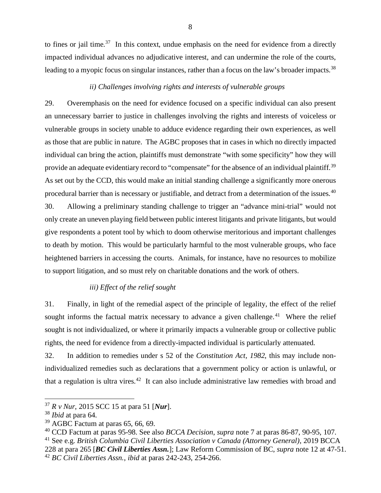to fines or jail time.<sup>37</sup> In this context, undue emphasis on the need for evidence from a directly impacted individual advances no adjudicative interest, and can undermine the role of the courts, leading to a myopic focus on singular instances, rather than a focus on the law's broader impacts.<sup>[38](#page-19-1)</sup>

### *ii) Challenges involving rights and interests of vulnerable groups*

29. Overemphasis on the need for evidence focused on a specific individual can also present an unnecessary barrier to justice in challenges involving the rights and interests of voiceless or vulnerable groups in society unable to adduce evidence regarding their own experiences, as well as those that are public in nature. The AGBC proposes that in cases in which no directly impacted individual can bring the action, plaintiffs must demonstrate "with some specificity" how they will provide an adequate evidentiary record to "compensate" for the absence of an individual plaintiff.<sup>[39](#page-19-2)</sup> As set out by the CCD, this would make an initial standing challenge a significantly more onerous procedural barrier than is necessary or justifiable, and detract from a determination of the issues.[40](#page-19-3) 30. Allowing a preliminary standing challenge to trigger an "advance mini-trial" would not only create an uneven playing field between public interest litigants and private litigants, but would give respondents a potent tool by which to doom otherwise meritorious and important challenges to death by motion. This would be particularly harmful to the most vulnerable groups, who face heightened barriers in accessing the courts. Animals, for instance, have no resources to mobilize to support litigation, and so must rely on charitable donations and the work of others.

### *iii) Effect of the relief sought*

31. Finally, in light of the remedial aspect of the principle of legality, the effect of the relief sought informs the factual matrix necessary to advance a given challenge.<sup>[41](#page-19-4)</sup> Where the relief sought is not individualized, or where it primarily impacts a vulnerable group or collective public rights, the need for evidence from a directly-impacted individual is particularly attenuated.

32. In addition to remedies under s 52 of the *Constitution Act, 1982*, this may include nonindividualized remedies such as declarations that a government policy or action is unlawful, or that a regulation is ultra vires.<sup>42</sup> It can also include administrative law remedies with broad and

<span id="page-19-0"></span><sup>37</sup> *R v Nur*, 2015 SCC 15 at para 51 [*Nur*].

<span id="page-19-1"></span><sup>38</sup> *Ibid* at para 64.

<span id="page-19-2"></span> $39$  AGBC Factum at paras 65, 66, 69.

<span id="page-19-3"></span><sup>40</sup> CCD Factum at paras 95-98. See also *BCCA Decision*, *supra* note 7 at paras 86-87, 90-95, 107.

<span id="page-19-4"></span><sup>41</sup> See e.g. *British Columbia Civil Liberties Association v Canada (Attorney General)*, 2019 BCCA

<span id="page-19-5"></span><sup>228</sup> at para 265 [*BC Civil Liberties Assn.*]; Law Reform Commission of BC, *supra* note 12 at 47-51. <sup>42</sup> *BC Civil Liberties Assn.*, *ibid* at paras 242-243, 254-266.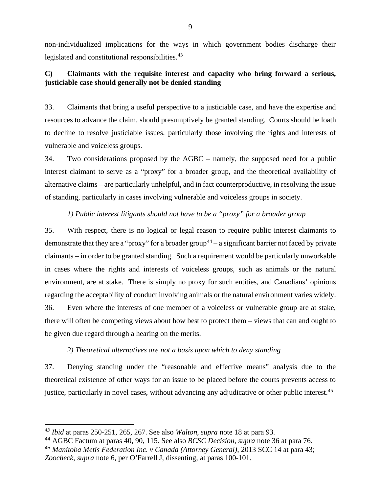non-individualized implications for the ways in which government bodies discharge their legislated and constitutional responsibilities.<sup>[43](#page-20-0)</sup>

# **C) Claimants with the requisite interest and capacity who bring forward a serious, justiciable case should generally not be denied standing**

33. Claimants that bring a useful perspective to a justiciable case, and have the expertise and resources to advance the claim, should presumptively be granted standing. Courts should be loath to decline to resolve justiciable issues, particularly those involving the rights and interests of vulnerable and voiceless groups.

34. Two considerations proposed by the AGBC – namely, the supposed need for a public interest claimant to serve as a "proxy" for a broader group, and the theoretical availability of alternative claims – are particularly unhelpful, and in fact counterproductive, in resolving the issue of standing, particularly in cases involving vulnerable and voiceless groups in society.

# *1) Public interest litigants should not have to be a "proxy" for a broader group*

35. With respect, there is no logical or legal reason to require public interest claimants to demonstrate that they are a "proxy" for a broader group<sup>[44](#page-20-1)</sup> – a significant barrier not faced by private claimants – in order to be granted standing. Such a requirement would be particularly unworkable in cases where the rights and interests of voiceless groups, such as animals or the natural environment, are at stake. There is simply no proxy for such entities, and Canadians' opinions regarding the acceptability of conduct involving animals or the natural environment varies widely. 36. Even where the interests of one member of a voiceless or vulnerable group are at stake, there will often be competing views about how best to protect them – views that can and ought to be given due regard through a hearing on the merits.

### *2) Theoretical alternatives are not a basis upon which to deny standing*

37. Denying standing under the "reasonable and effective means" analysis due to the theoretical existence of other ways for an issue to be placed before the courts prevents access to justice, particularly in novel cases, without advancing any adjudicative or other public interest.<sup>[45](#page-20-2)</sup>

<span id="page-20-0"></span>*<sup>43</sup> Ibid* at paras 250-251, 265, 267. See also *Walton*, *supra* note 18 at para 93.

<span id="page-20-1"></span><sup>44</sup> AGBC Factum at paras 40, 90, 115. See also *BCSC Decision, supra* note 36 at para 76.

<span id="page-20-2"></span><sup>45</sup> *Manitoba Metis Federation Inc. v Canada (Attorney General)*, 2013 SCC 14 at para 43; *Zoocheck*, *supra* note 6, per O'Farrell J, dissenting, at paras 100-101.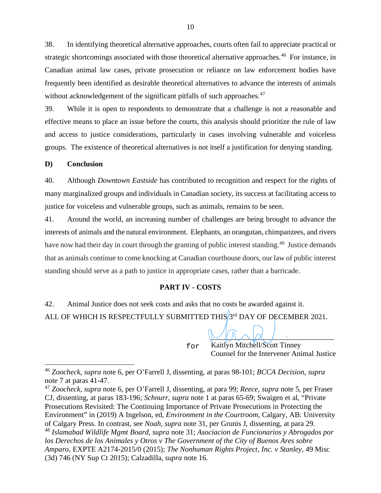38. In identifying theoretical alternative approaches, courts often fail to appreciate practical or strategic shortcomings associated with those theoretical alternative approaches.<sup>[46](#page-21-0)</sup> For instance, in Canadian animal law cases, private prosecution or reliance on law enforcement bodies have frequently been identified as desirable theoretical alternatives to advance the interests of animals without acknowledgement of the significant pitfalls of such approaches.<sup>[47](#page-21-1)</sup>

39. While it is open to respondents to demonstrate that a challenge is not a reasonable and effective means to place an issue before the courts, this analysis should prioritize the rule of law and access to justice considerations, particularly in cases involving vulnerable and voiceless groups. The existence of theoretical alternatives is not itself a justification for denying standing.

### **D) Conclusion**

40. Although *Downtown Eastside* has contributed to recognition and respect for the rights of many marginalized groups and individuals in Canadian society, its success at facilitating access to justice for voiceless and vulnerable groups, such as animals, remains to be seen.

41. Around the world, an increasing number of challenges are being brought to advance the interests of animals and the natural environment. Elephants, an orangutan, chimpanzees, and rivers have now had their day in court through the granting of public interest standing.<sup>[48](#page-21-2)</sup> Justice demands that as animals continue to come knocking at Canadian courthouse doors, our law of public interest standing should serve as a path to justice in appropriate cases, rather than a barricade.

### **PART IV - COSTS**

42. Animal Justice does not seek costs and asks that no costs be awarded against it. ALL OF WHICH IS RESPECTFULLY SUBMITTED THIS  $3^{rd}$  DAY OF DECEMBER 2021.

for

 Kaitlyn Mitchell/Scott Tinney Counsel for the Intervener Animal Justice

\_\_\_\_\_\_\_\_\_\_\_\_\_\_\_\_\_\_\_\_\_\_\_\_\_\_\_\_\_\_\_\_\_

<span id="page-21-0"></span><sup>46</sup> *Zoocheck*, *supra* note 6, per O'Farrell J, dissenting, at paras 98-101; *BCCA Decision*, *supra*  note 7 at paras 41-47.

<span id="page-21-1"></span><sup>47</sup> *Zoocheck, supra* note 6, per O'Farrell J, dissenting, at para 99; *Reece, supra* note 5, per Fraser CJ, dissenting, at paras 183-196; *Schnurr*, *supra* note 1 at paras 65-69; Swaigen et al, "Private Prosecutions Revisited: The Continuing Importance of Private Prosecutions in Protecting the Environment" in (2019) A Ingelson, ed, *Environment in the Courtroom*, Calgary, AB: University of Calgary Press. In contrast, see *Noah*, *supra* note 31, per Grunis J, dissenting, at para 29.

<span id="page-21-2"></span><sup>48</sup> *Islamabad Wildlife Mgmt Board, supra* note 31; *Asociacion de Funcionarios y Abrogados por los Derechos de los Animales y Otros v The Government of the City of Buenos Ares sobre Amparo*, EXPTE A2174-2015/0 (2015); *The Nonhuman Rights Project, Inc. v Stanley*, 49 Misc (3d) 746 (NY Sup Ct 2015); Calzadilla, *supra* note 16.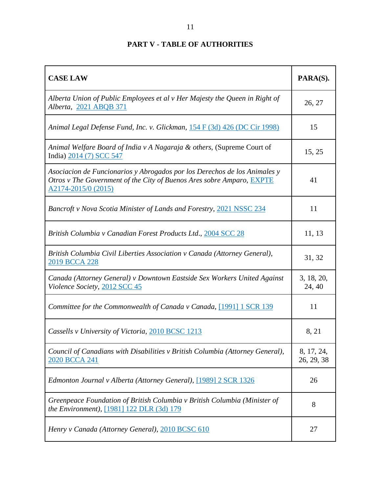| <b>CASE LAW</b>                                                                                                                                                           | PARA(S).                 |
|---------------------------------------------------------------------------------------------------------------------------------------------------------------------------|--------------------------|
| Alberta Union of Public Employees et al v Her Majesty the Queen in Right of<br>Alberta, 2021 ABQB 371                                                                     | 26, 27                   |
| Animal Legal Defense Fund, Inc. v. Glickman, 154 F (3d) 426 (DC Cir 1998)                                                                                                 | 15                       |
| Animal Welfare Board of India v A Nagaraja & others, (Supreme Court of<br>India) 2014 (7) SCC 547                                                                         | 15, 25                   |
| Asociacion de Funcionarios y Abrogados por los Derechos de los Animales y<br>Otros v The Government of the City of Buenos Ares sobre Amparo, EXPTE<br>A2174-2015/0 (2015) | 41                       |
| Bancroft v Nova Scotia Minister of Lands and Forestry, 2021 NSSC 234                                                                                                      | 11                       |
| British Columbia v Canadian Forest Products Ltd., 2004 SCC 28                                                                                                             | 11, 13                   |
| British Columbia Civil Liberties Association v Canada (Attorney General),<br>2019 BCCA 228                                                                                | 31, 32                   |
| Canada (Attorney General) v Downtown Eastside Sex Workers United Against<br>Violence Society, 2012 SCC 45                                                                 | 3, 18, 20,<br>24, 40     |
| Committee for the Commonwealth of Canada v Canada, [1991] 1 SCR 139                                                                                                       | 11                       |
| Cassells v University of Victoria, 2010 BCSC 1213                                                                                                                         | 8, 21                    |
| Council of Canadians with Disabilities v British Columbia (Attorney General),<br>2020 BCCA 241                                                                            | 8, 17, 24,<br>26, 29, 38 |
| Edmonton Journal v Alberta (Attorney General), [1989] 2 SCR 1326                                                                                                          | 26                       |
| Greenpeace Foundation of British Columbia v British Columbia (Minister of<br>the Environment), [1981] 122 DLR (3d) 179                                                    | 8                        |
| Henry v Canada (Attorney General), 2010 BCSC 610                                                                                                                          | 27                       |

# **PART V - TABLE OF AUTHORITIES**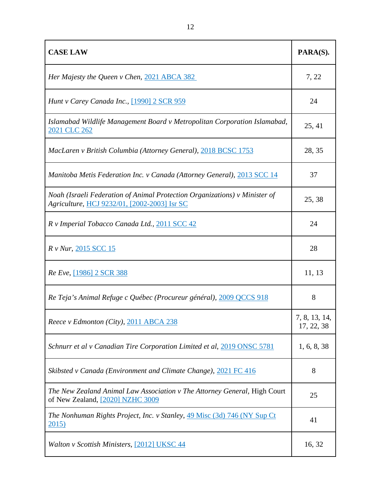| <b>CASE LAW</b>                                                                                                            | PARA(S).                    |
|----------------------------------------------------------------------------------------------------------------------------|-----------------------------|
| Her Majesty the Queen v Chen, 2021 ABCA 382                                                                                | 7, 22                       |
| Hunt v Carey Canada Inc., [1990] 2 SCR 959                                                                                 | 24                          |
| Islamabad Wildlife Management Board v Metropolitan Corporation Islamabad,<br>2021 CLC 262                                  | 25, 41                      |
| MacLaren v British Columbia (Attorney General), 2018 BCSC 1753                                                             | 28, 35                      |
| <b>Manitoba Metis Federation Inc. v Canada (Attorney General), 2013 SCC 14</b>                                             | 37                          |
| Noah (Israeli Federation of Animal Protection Organizations) v Minister of<br>Agriculture, HCJ 9232/01, [2002-2003] Isr SC | 25, 38                      |
| R v Imperial Tobacco Canada Ltd., 2011 SCC 42                                                                              | 24                          |
| R v Nur, 2015 SCC 15                                                                                                       | 28                          |
| Re Eve, [1986] 2 SCR 388                                                                                                   | 11, 13                      |
| Re Teja's Animal Refuge c Québec (Procureur général), 2009 QCCS 918                                                        | 8                           |
| Reece v Edmonton (City), 2011 ABCA 238                                                                                     | 7, 8, 13, 14,<br>17, 22, 38 |
| Schnurr et al v Canadian Tire Corporation Limited et al, 2019 ONSC 5781                                                    | 1, 6, 8, 38                 |
| Skibsted v Canada (Environment and Climate Change), 2021 FC 416                                                            | 8                           |
| The New Zealand Animal Law Association v The Attorney General, High Court<br>of New Zealand, [2020] NZHC 3009              | 25                          |
| The Nonhuman Rights Project, Inc. v Stanley, 49 Misc (3d) 746 (NY Sup Ct)<br>2015)                                         | 41                          |
| Walton v Scottish Ministers, [2012] UKSC 44                                                                                | 16, 32                      |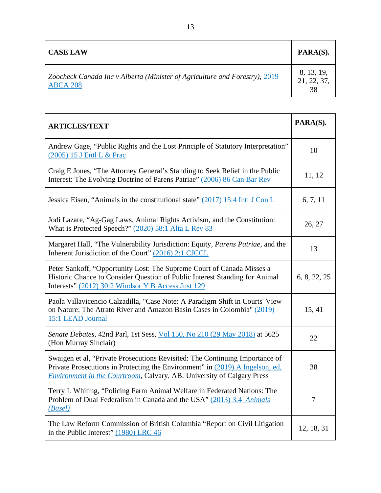| <b>CASE LAW</b>                                                            | PARA(S).    |
|----------------------------------------------------------------------------|-------------|
| Zoocheck Canada Inc v Alberta (Minister of Agriculture and Forestry), 2019 | 8, 13, 19,  |
| <b>ABCA 208</b>                                                            | 21, 22, 37, |

| <b>ARTICLES/TEXT</b>                                                                                                                                                                                                                           | PARA(S).   |
|------------------------------------------------------------------------------------------------------------------------------------------------------------------------------------------------------------------------------------------------|------------|
| Andrew Gage, "Public Rights and the Lost Principle of Statutory Interpretation"<br>(2005) 15 J Entl L & Prac                                                                                                                                   |            |
| Craig E Jones, "The Attorney General's Standing to Seek Relief in the Public<br>Interest: The Evolving Doctrine of Parens Patriae" (2006) 86 Can Bar Rev                                                                                       | 11, 12     |
| Jessica Eisen, "Animals in the constitutional state" $(2017)$ 15:4 Intl J Con L                                                                                                                                                                | 6, 7, 11   |
| Jodi Lazare, "Ag-Gag Laws, Animal Rights Activism, and the Constitution:<br>What is Protected Speech?" (2020) 58:1 Alta L Rev 83                                                                                                               | 26, 27     |
| Margaret Hall, "The Vulnerability Jurisdiction: Equity, Parens Patriae, and the<br>Inherent Jurisdiction of the Court" (2016) 2:1 CJCCL                                                                                                        | 13         |
| Peter Sankoff, "Opportunity Lost: The Supreme Court of Canada Misses a<br>Historic Chance to Consider Question of Public Interest Standing for Animal<br>Interests" (2012) 30:2 Windsor Y B Access Just 129                                    |            |
| Paola Villavicencio Calzadilla, "Case Note: A Paradigm Shift in Courts' View<br>on Nature: The Atrato River and Amazon Basin Cases in Colombia" (2019)<br>15:1 LEAD Journal                                                                    | 15, 41     |
| Senate Debates, 42nd Parl, 1st Sess, Vol 150, No 210 (29 May 2018) at 5625<br>(Hon Murray Sinclair)                                                                                                                                            | 22         |
| Swaigen et al, "Private Prosecutions Revisited: The Continuing Importance of<br>Private Prosecutions in Protecting the Environment" in (2019) A Ingelson, ed,<br><b>Environment in the Courtroom, Calvary, AB: University of Calgary Press</b> |            |
| Terry L Whiting, "Policing Farm Animal Welfare in Federated Nations: The<br>Problem of Dual Federalism in Canada and the USA" (2013) 3:4 Animals<br>(Basel)                                                                                    |            |
| The Law Reform Commission of British Columbia "Report on Civil Litigation"<br>in the Public Interest" (1980) LRC 46                                                                                                                            | 12, 18, 31 |